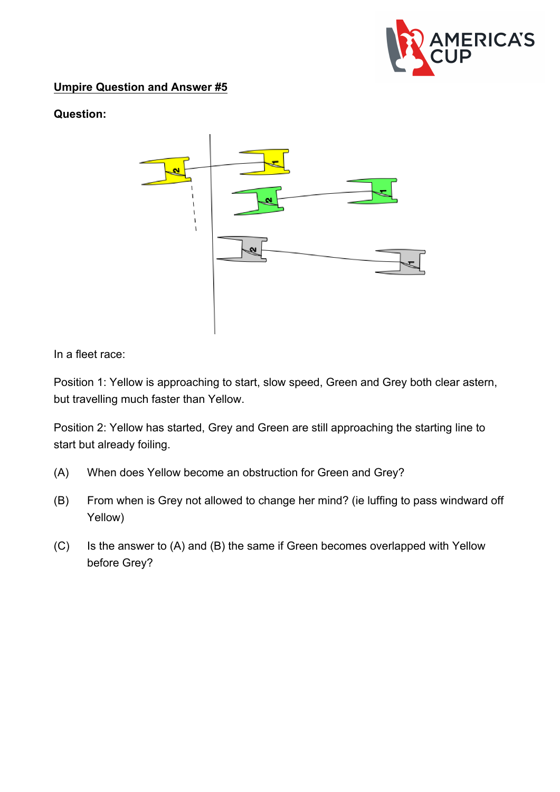

## **Umpire Question and Answer #5**

## **Question:**



In a fleet race:

Position 1: Yellow is approaching to start, slow speed, Green and Grey both clear astern, but travelling much faster than Yellow.

Position 2: Yellow has started, Grey and Green are still approaching the starting line to start but already foiling.

- (A) When does Yellow become an obstruction for Green and Grey?
- (B) From when is Grey not allowed to change her mind? (ie luffing to pass windward off Yellow)
- (C) Is the answer to (A) and (B) the same if Green becomes overlapped with Yellow before Grey?